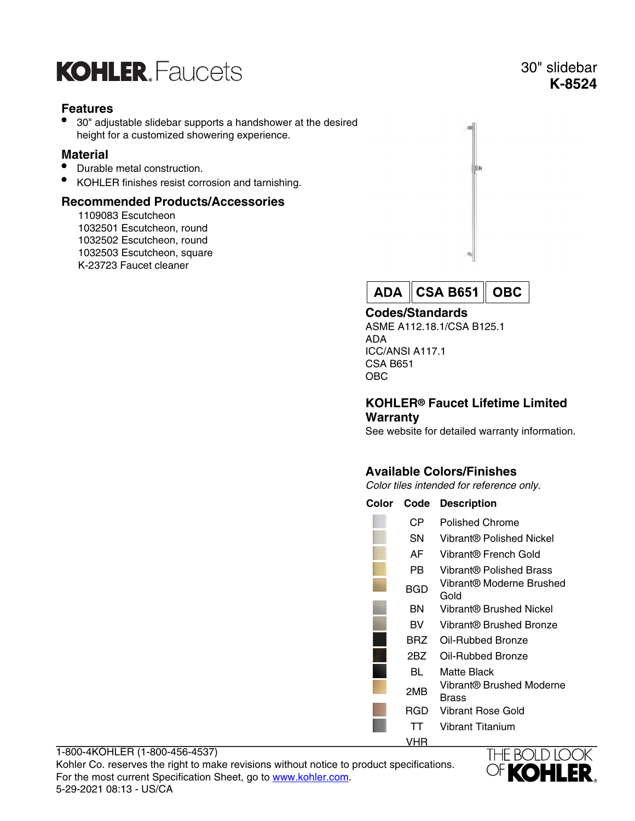# **KOHLER** Faucets

# **Features**

• 30" adjustable slidebar supports a handshower at the desired height for a customized showering experience.

#### **Material**

- Durable metal construction.
- KOHLER finishes resist corrosion and tarnishing.

### **Recommended Products/Accessories**

1109083 Escutcheon 1032501 Escutcheon, round 1032502 Escutcheon, round 1032503 Escutcheon, square K-23723 Faucet cleaner



**CSA B651 ADA OBC** 

#### **Codes/Standards**

ASME A112.18.1/CSA B125.1 ADA ICC/ANSI A117.1 CSA B651 OBC

#### **KOHLER® Faucet Lifetime Limited Warranty**

See website for detailed warranty information.

## **Available Colors/Finishes**

Color tiles intended for reference only.

| Color | Code | <b>Description</b>                |
|-------|------|-----------------------------------|
|       | СP   | Polished Chrome                   |
|       | SΝ   | Vibrant® Polished Nickel          |
|       | AF   | Vibrant® French Gold              |
|       | PB.  | Vibrant® Polished Brass           |
|       | BGD  | Vibrant® Moderne Brushed<br>Gold  |
|       | ΒN   | Vibrant® Brushed Nickel           |
|       | BV   | Vibrant® Brushed Bronze           |
|       | BRZ  | Oil-Rubbed Bronze                 |
|       | 2BZ  | Oil-Rubbed Bronze                 |
|       | BL.  | Matte Black                       |
|       | 2MB  | Vibrant® Brushed Moderne<br>Brass |
|       | RGD  | Vibrant Rose Gold                 |
|       | ТT   | Vibrant Titanium                  |
|       | VHR  |                                   |



# 30" slidebar **K-8524**